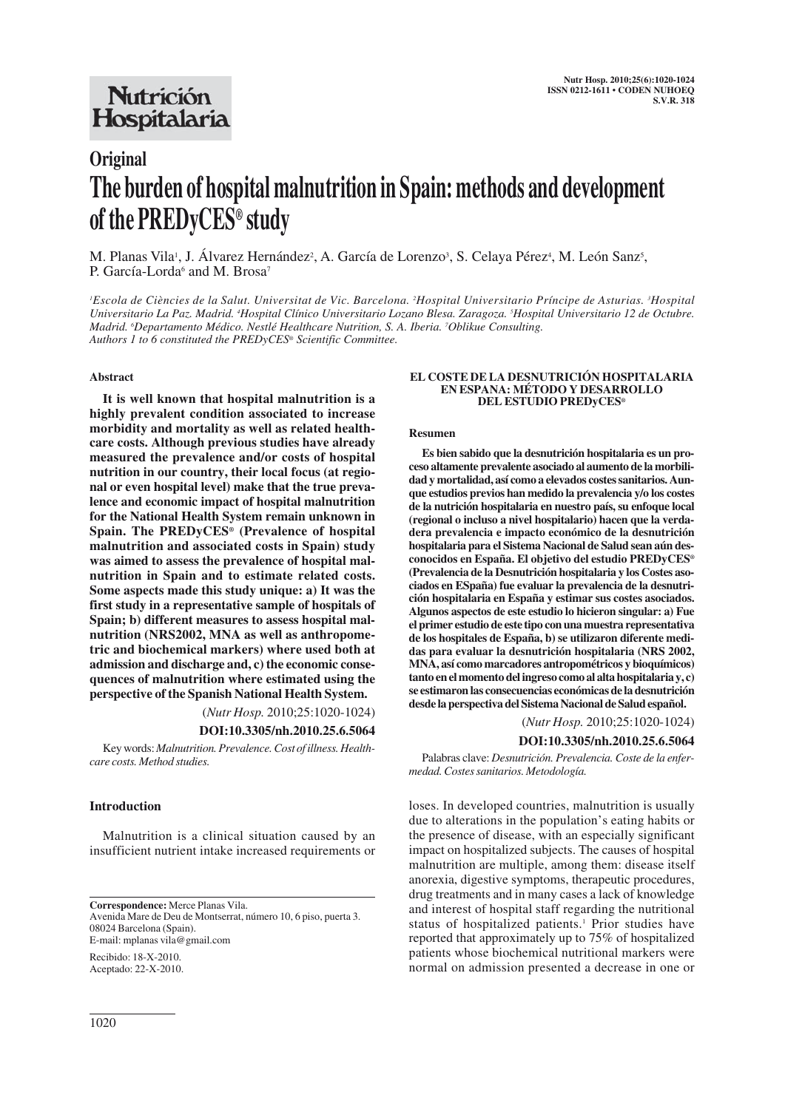## Nutrición Hospitalaria

# **Original The burden of hospital malnutrition in Spain: methods and development of the PREDyCES® study**

M. Planas Vila<sup>1</sup>, J. Álvarez Hernández<sup>2</sup>, A. García de Lorenzo<sup>3</sup>, S. Celaya Pérez<sup>4</sup>, M. León Sanz<sup>5</sup>, P. García-Lorda<sup>6</sup> and M. Brosa<sup>7</sup>

*1 Escola de Ciències de la Salut. Universitat de Vic. Barcelona. 2 Hospital Universitario Príncipe de Asturias. 3 Hospital Universitario La Paz. Madrid. 4 Hospital Clínico Universitario Lozano Blesa. Zaragoza. 5 Hospital Universitario 12 de Octubre. Madrid. 6 Departamento Médico. Nestlé Healthcare Nutrition, S. A. Iberia. 7 Oblikue Consulting. Authors 1 to 6 constituted the PREDyCES® Scientific Committee.*

#### **Abstract**

**It is well known that hospital malnutrition is a highly prevalent condition associated to increase morbidity and mortality as well as related healthcare costs. Although previous studies have already measured the prevalence and/or costs of hospital nutrition in our country, their local focus (at regional or even hospital level) make that the true prevalence and economic impact of hospital malnutrition for the National Health System remain unknown in Spain. The PREDyCES® (Prevalence of hospital malnutrition and associated costs in Spain) study was aimed to assess the prevalence of hospital malnutrition in Spain and to estimate related costs. Some aspects made this study unique: a) It was the first study in a representative sample of hospitals of Spain; b) different measures to assess hospital malnutrition (NRS2002, MNA as well as anthropometric and biochemical markers) where used both at admission and discharge and, c) the economic consequences of malnutrition where estimated using the perspective of the Spanish National Health System.**

(*Nutr Hosp.* 2010;25:1020-1024)

## **DOI:10.3305/nh.2010.25.6.5064**

Key words: *Malnutrition. Prevalence. Cost of illness. Healthcare costs. Method studies.*

## **Introduction**

Malnutrition is a clinical situation caused by an insufficient nutrient intake increased requirements or

**Correspondence:** Merce Planas Vila. Avenida Mare de Deu de Montserrat, número 10, 6 piso, puerta 3. 08024 Barcelona (Spain). E-mail: mplanas vila@gmail.com

Recibido: 18-X-2010. Aceptado: 22-X-2010.

#### **EL COSTE DE LA DESNUTRICIÓN HOSPITALARIA EN ESPANA: MÉTODO Y DESARROLLO DEL ESTUDIO PREDyCES®**

#### **Resumen**

**Es bien sabido que la desnutrición hospitalaria es un proceso altamente prevalente asociado al aumento de la morbilidad y mortalidad, así como a elevados costes sanitarios. Aunque estudios previos han medido la prevalencia y/o los costes de la nutrición hospitalaria en nuestro país, su enfoque local (regional o incluso a nivel hospitalario) hacen que la verdadera prevalencia e impacto económico de la desnutrición hospitalaria para el Sistema Nacional de Salud sean aún desconocidos en España. El objetivo del estudio PREDyCES® (Prevalencia de la Desnutrición hospitalaria y los Costes asociados en ESpaña) fue evaluar la prevalencia de la desnutrición hospitalaria en España y estimar sus costes asociados. Algunos aspectos de este estudio lo hicieron singular: a) Fue el primer estudio de este tipo con una muestra representativa de los hospitales de España, b) se utilizaron diferente medidas para evaluar la desnutrición hospitalaria (NRS 2002, MNA, así como marcadores antropométricos y bioquímicos) tanto en el momento del ingreso como al alta hospitalaria y, c) se estimaron las consecuencias económicas de la desnutrición desde la perspectiva del Sistema Nacional de Salud español.** 

(*Nutr Hosp.* 2010;25:1020-1024)

#### **DOI:10.3305/nh.2010.25.6.5064**

Palabras clave: *Desnutrición. Prevalencia. Coste de la enfermedad. Costes sanitarios. Metodología.*

loses. In developed countries, malnutrition is usually due to alterations in the population's eating habits or the presence of disease, with an especially significant impact on hospitalized subjects. The causes of hospital malnutrition are multiple, among them: disease itself anorexia, digestive symptoms, therapeutic procedures, drug treatments and in many cases a lack of knowledge and interest of hospital staff regarding the nutritional status of hospitalized patients.<sup>1</sup> Prior studies have reported that approximately up to 75% of hospitalized patients whose biochemical nutritional markers were normal on admission presented a decrease in one or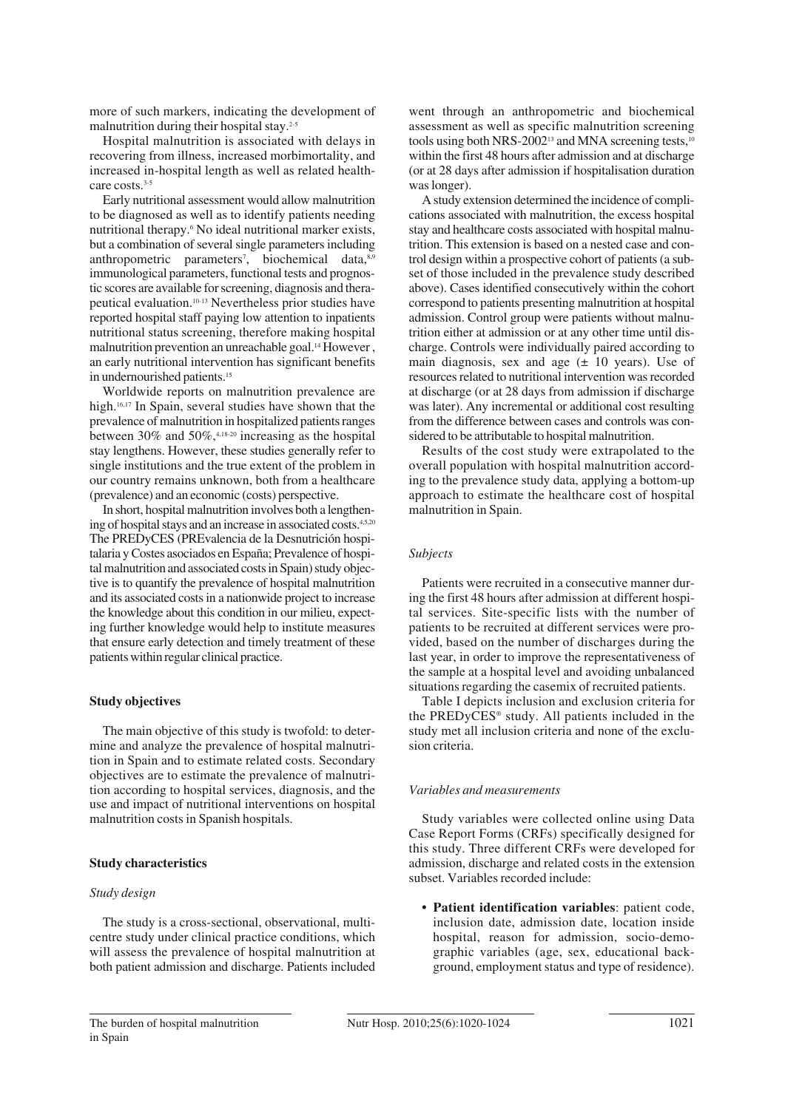more of such markers, indicating the development of malnutrition during their hospital stay.<sup>2-5</sup>

Hospital malnutrition is associated with delays in recovering from illness, increased morbimortality, and increased in-hospital length as well as related healthcare costs.<sup>3-5</sup>

Early nutritional assessment would allow malnutrition to be diagnosed as well as to identify patients needing nutritional therapy.6 No ideal nutritional marker exists, but a combination of several single parameters including anthropometric parameters<sup>7</sup>, biochemical data,<sup>8,9</sup> immunological parameters, functional tests and prognostic scores are available for screening, diagnosis and therapeutical evaluation.10-13 Nevertheless prior studies have reported hospital staff paying low attention to inpatients nutritional status screening, therefore making hospital malnutrition prevention an unreachable goal.<sup>14</sup> However, an early nutritional intervention has significant benefits in undernourished patients.15

Worldwide reports on malnutrition prevalence are high.<sup>16,17</sup> In Spain, several studies have shown that the prevalence of malnutrition in hospitalized patients ranges between 30% and 50%, $4,18-20$  increasing as the hospital stay lengthens. However, these studies generally refer to single institutions and the true extent of the problem in our country remains unknown, both from a healthcare (prevalence) and an economic (costs) perspective.

In short, hospital malnutrition involves both a lengthening of hospital stays and an increase in associated costs.<sup>4,5,20</sup> The PREDyCES (PREvalencia de la Desnutrición hospitalaria y Costes asociados en España; Prevalence of hospital malnutrition and associated costs in Spain) study objective is to quantify the prevalence of hospital malnutrition and its associated costs in a nationwide project to increase the knowledge about this condition in our milieu, expecting further knowledge would help to institute measures that ensure early detection and timely treatment of these patients within regular clinical practice.

## **Study objectives**

The main objective of this study is twofold: to determine and analyze the prevalence of hospital malnutrition in Spain and to estimate related costs. Secondary objectives are to estimate the prevalence of malnutrition according to hospital services, diagnosis, and the use and impact of nutritional interventions on hospital malnutrition costs in Spanish hospitals.

#### **Study characteristics**

#### *Study design*

The study is a cross-sectional, observational, multicentre study under clinical practice conditions, which will assess the prevalence of hospital malnutrition at both patient admission and discharge. Patients included went through an anthropometric and biochemical assessment as well as specific malnutrition screening tools using both NRS-2002<sup>13</sup> and MNA screening tests,<sup>10</sup> within the first 48 hours after admission and at discharge (or at 28 days after admission if hospitalisation duration was longer).

A study extension determined the incidence of complications associated with malnutrition, the excess hospital stay and healthcare costs associated with hospital malnutrition. This extension is based on a nested case and control design within a prospective cohort of patients (a subset of those included in the prevalence study described above). Cases identified consecutively within the cohort correspond to patients presenting malnutrition at hospital admission. Control group were patients without malnutrition either at admission or at any other time until discharge. Controls were individually paired according to main diagnosis, sex and age  $(\pm 10 \text{ years})$ . Use of resources related to nutritional intervention was recorded at discharge (or at 28 days from admission if discharge was later). Any incremental or additional cost resulting from the difference between cases and controls was considered to be attributable to hospital malnutrition.

Results of the cost study were extrapolated to the overall population with hospital malnutrition according to the prevalence study data, applying a bottom-up approach to estimate the healthcare cost of hospital malnutrition in Spain.

## *Subjects*

Patients were recruited in a consecutive manner during the first 48 hours after admission at different hospital services. Site-specific lists with the number of patients to be recruited at different services were provided, based on the number of discharges during the last year, in order to improve the representativeness of the sample at a hospital level and avoiding unbalanced situations regarding the casemix of recruited patients.

Table I depicts inclusion and exclusion criteria for the PREDyCES® study. All patients included in the study met all inclusion criteria and none of the exclusion criteria.

#### *Variables and measurements*

Study variables were collected online using Data Case Report Forms (CRFs) specifically designed for this study. Three different CRFs were developed for admission, discharge and related costs in the extension subset. Variables recorded include:

**• Patient identification variables**: patient code, inclusion date, admission date, location inside hospital, reason for admission, socio-demographic variables (age, sex, educational background, employment status and type of residence).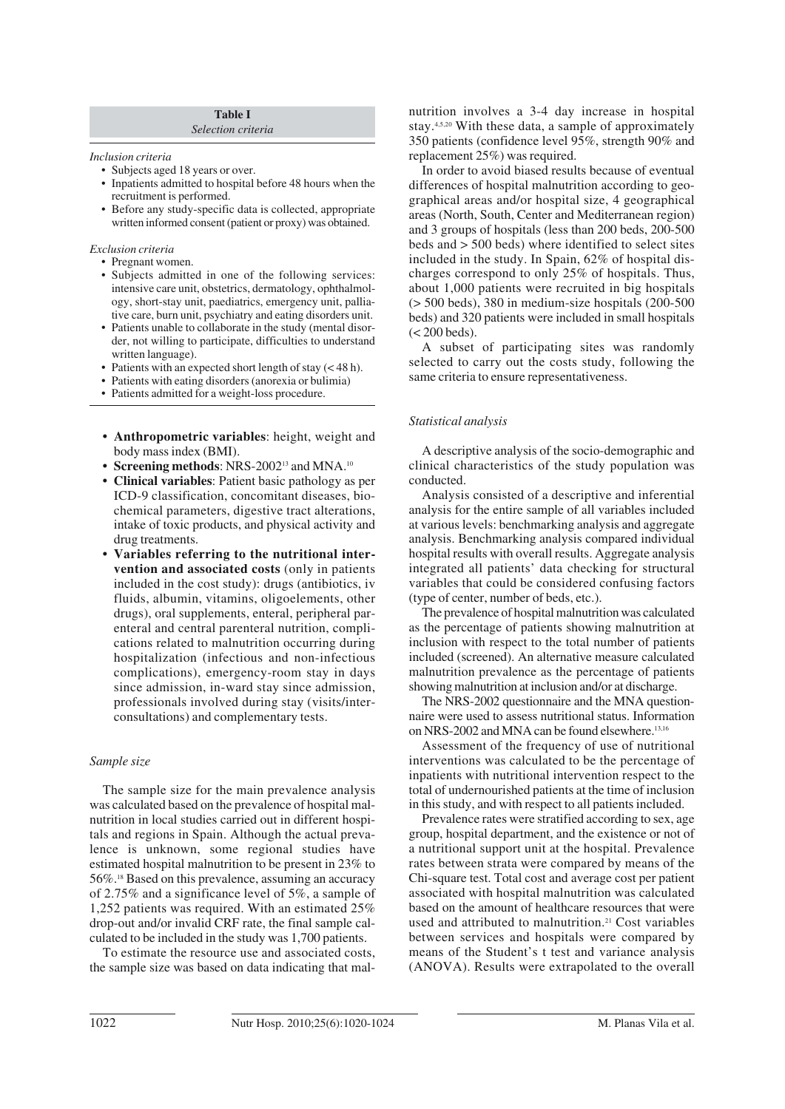#### **Table I** *Selection criteria*

#### *Inclusion criteria*

- Subjects aged 18 years or over.
- Inpatients admitted to hospital before 48 hours when the recruitment is performed.
- Before any study-specific data is collected, appropriate written informed consent (patient or proxy) was obtained.

## *Exclusion criteria*

- Pregnant women.
- Subjects admitted in one of the following services: intensive care unit, obstetrics, dermatology, ophthalmology, short-stay unit, paediatrics, emergency unit, palliative care, burn unit, psychiatry and eating disorders unit.
- Patients unable to collaborate in the study (mental disorder, not willing to participate, difficulties to understand written language).
- Patients with an expected short length of stay (< 48 h).
- Patients with eating disorders (anorexia or bulimia)
- Patients admitted for a weight-loss procedure.
- **Anthropometric variables**: height, weight and body mass index (BMI).
- **Screening methods**: NRS-2002<sup>13</sup> and MNA.<sup>10</sup>
- **Clinical variables**: Patient basic pathology as per ICD-9 classification, concomitant diseases, biochemical parameters, digestive tract alterations, intake of toxic products, and physical activity and drug treatments.
- **Variables referring to the nutritional intervention and associated costs** (only in patients included in the cost study): drugs (antibiotics, iv fluids, albumin, vitamins, oligoelements, other drugs), oral supplements, enteral, peripheral parenteral and central parenteral nutrition, complications related to malnutrition occurring during hospitalization (infectious and non-infectious complications), emergency-room stay in days since admission, in-ward stay since admission, professionals involved during stay (visits/interconsultations) and complementary tests.

## *Sample size*

The sample size for the main prevalence analysis was calculated based on the prevalence of hospital malnutrition in local studies carried out in different hospitals and regions in Spain. Although the actual prevalence is unknown, some regional studies have estimated hospital malnutrition to be present in 23% to 56%.18 Based on this prevalence, assuming an accuracy of 2.75% and a significance level of 5%, a sample of 1,252 patients was required. With an estimated 25% drop-out and/or invalid CRF rate, the final sample calculated to be included in the study was 1,700 patients.

To estimate the resource use and associated costs, the sample size was based on data indicating that malnutrition involves a 3-4 day increase in hospital stay.4,5,20 With these data, a sample of approximately 350 patients (confidence level 95%, strength 90% and replacement 25%) was required.

In order to avoid biased results because of eventual differences of hospital malnutrition according to geographical areas and/or hospital size, 4 geographical areas (North, South, Center and Mediterranean region) and 3 groups of hospitals (less than 200 beds, 200-500 beds and > 500 beds) where identified to select sites included in the study. In Spain, 62% of hospital discharges correspond to only 25% of hospitals. Thus, about 1,000 patients were recruited in big hospitals (> 500 beds), 380 in medium-size hospitals (200-500 beds) and 320 patients were included in small hospitals (< 200 beds).

A subset of participating sites was randomly selected to carry out the costs study, following the same criteria to ensure representativeness.

## *Statistical analysis*

A descriptive analysis of the socio-demographic and clinical characteristics of the study population was conducted.

Analysis consisted of a descriptive and inferential analysis for the entire sample of all variables included at various levels: benchmarking analysis and aggregate analysis. Benchmarking analysis compared individual hospital results with overall results. Aggregate analysis integrated all patients' data checking for structural variables that could be considered confusing factors (type of center, number of beds, etc.).

The prevalence of hospital malnutrition was calculated as the percentage of patients showing malnutrition at inclusion with respect to the total number of patients included (screened). An alternative measure calculated malnutrition prevalence as the percentage of patients showing malnutrition at inclusion and/or at discharge.

The NRS-2002 questionnaire and the MNA questionnaire were used to assess nutritional status. Information on NRS-2002 and MNA can be found elsewhere.<sup>13,16</sup>

Assessment of the frequency of use of nutritional interventions was calculated to be the percentage of inpatients with nutritional intervention respect to the total of undernourished patients at the time of inclusion in this study, and with respect to all patients included.

Prevalence rates were stratified according to sex, age group, hospital department, and the existence or not of a nutritional support unit at the hospital. Prevalence rates between strata were compared by means of the Chi-square test. Total cost and average cost per patient associated with hospital malnutrition was calculated based on the amount of healthcare resources that were used and attributed to malnutrition.<sup>21</sup> Cost variables between services and hospitals were compared by means of the Student's t test and variance analysis (ANOVA). Results were extrapolated to the overall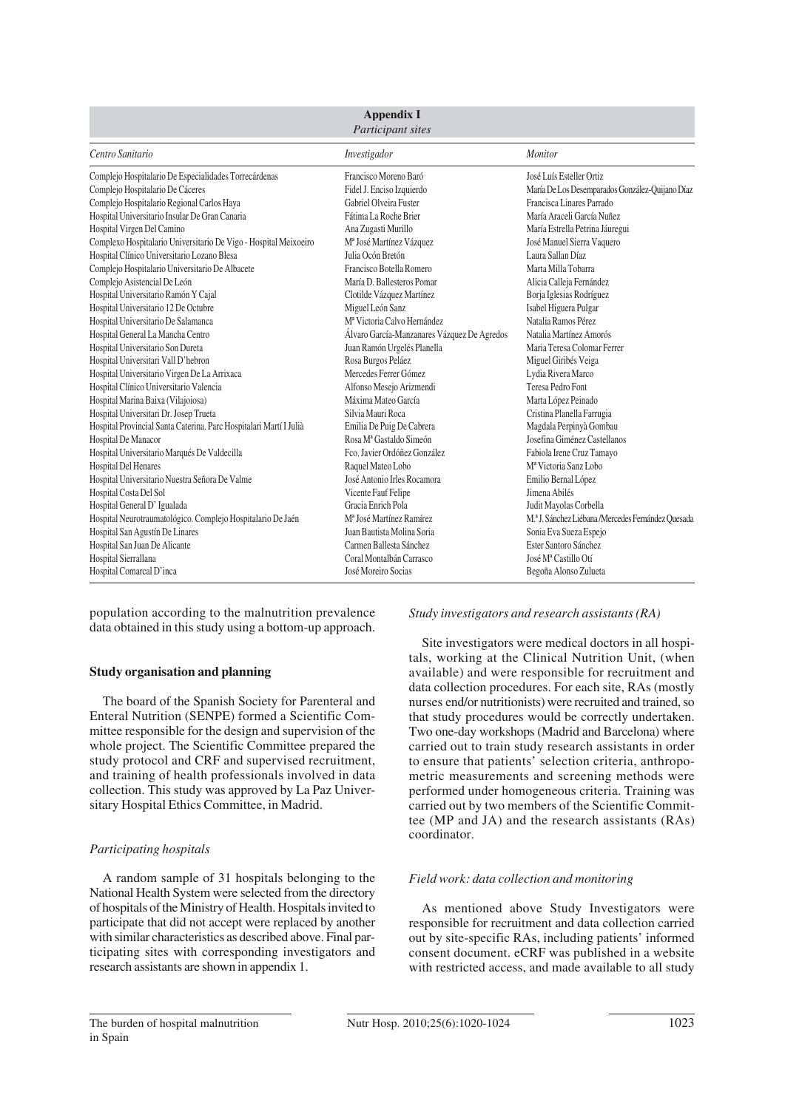| <b>Appendix I</b><br>Participant sites                             |                                             |                                                     |
|--------------------------------------------------------------------|---------------------------------------------|-----------------------------------------------------|
| Centro Sanitario                                                   | Investigador                                | <b>Monitor</b>                                      |
| Complejo Hospitalario De Especialidades Torrecárdenas              | Francisco Moreno Baró                       | José Luís Esteller Ortiz                            |
| Complejo Hospitalario De Cáceres                                   | Fidel J. Enciso Izquierdo                   | María De Los Desemparados González-Quijano Díaz     |
| Complejo Hospitalario Regional Carlos Haya                         | Gabriel Olveira Fuster                      | Francisca Linares Parrado                           |
| Hospital Universitario Insular De Gran Canaria                     | Fátima La Roche Brier                       | María Araceli García Nuñez                          |
| Hospital Virgen Del Camino                                         | Ana Zugasti Murillo                         | María Estrella Petrina Jáuregui                     |
| Complexo Hospitalario Universitario De Vigo - Hospital Meixoeiro   | M <sup>a</sup> José Martínez Vázquez        | José Manuel Sierra Vaquero                          |
| Hospital Clínico Universitario Lozano Blesa                        | Julia Ocón Bretón                           | Laura Sallan Díaz                                   |
| Complejo Hospitalario Universitario De Albacete                    | Francisco Botella Romero                    | Marta Milla Tobarra                                 |
| Complejo Asistencial De León                                       | María D. Ballesteros Pomar                  | Alicia Calleja Fernández                            |
| Hospital Universitario Ramón Y Cajal                               | Clotilde Vázquez Martínez                   | Borja Iglesias Rodríguez                            |
| Hospital Universitario 12 De Octubre                               | Miguel León Sanz                            | Isabel Higuera Pulgar                               |
| Hospital Universitario De Salamanca                                | M <sup>ª</sup> Victoria Calvo Hernández     | Natalia Ramos Pérez                                 |
| Hospital General La Mancha Centro                                  | Álvaro García-Manzanares Vázquez De Agredos | Natalia Martínez Amorós                             |
| Hospital Universitario Son Dureta                                  | Juan Ramón Urgelés Planella                 | Maria Teresa Colomar Ferrer                         |
| Hospital Universitari Vall D'hebron                                | Rosa Burgos Peláez                          | Miguel Giribés Veiga                                |
| Hospital Universitario Virgen De La Arrixaca                       | Mercedes Ferrer Gómez                       | Lydia Rivera Marco                                  |
| Hospital Clínico Universitario Valencia                            | Alfonso Mesejo Arizmendi                    | Teresa Pedro Font                                   |
| Hospital Marina Baixa (Vilajoiosa)                                 | Máxima Mateo García                         | Marta López Peinado                                 |
| Hospital Universitari Dr. Josep Trueta                             | Silvia Mauri Roca                           | Cristina Planella Farrugia                          |
| Hospital Provincial Santa Caterina. Parc Hospitalari Martí I Julià | Emilia De Puig De Cabrera                   | Magdala Perpinyà Gombau                             |
| Hospital De Manacor                                                | Rosa Mª Gastaldo Simeón                     | Josefina Giménez Castellanos                        |
| Hospital Universitario Marqués De Valdecilla                       | Fco. Javier Ordóñez González                | Fabiola Irene Cruz Tamavo                           |
| Hospital Del Henares                                               | Raquel Mateo Lobo                           | M <sup>a</sup> Victoria Sanz Lobo                   |
| Hospital Universitario Nuestra Señora De Valme                     | José Antonio Irles Rocamora                 | Emilio Bernal López                                 |
| Hospital Costa Del Sol                                             | Vicente Fauf Felipe                         | Jimena Abilés                                       |
| Hospital General D' Igualada                                       | Gracia Enrich Pola                          | Judit Mayolas Corbella                              |
| Hospital Neurotraumatológico. Complejo Hospitalario De Jaén        | M <sup>ª</sup> José Martínez Ramírez        | M.ª J. Sánchez Liébana / Mercedes Fernández Quesada |
| Hospital San Agustín De Linares                                    | Juan Bautista Molina Soria                  | Sonia Eva Sueza Espejo                              |
| Hospital San Juan De Alicante                                      | Carmen Ballesta Sánchez                     | Ester Santoro Sánchez                               |
| Hospital Sierrallana                                               | Coral Montalbán Carrasco                    | José Mª Castillo Otí                                |
| Hospital Comarcal D'inca                                           | José Moreiro Socias                         | Begoña Alonso Zulueta                               |

population according to the malnutrition prevalence data obtained in this study using a bottom-up approach.

## **Study organisation and planning**

The board of the Spanish Society for Parenteral and Enteral Nutrition (SENPE) formed a Scientific Committee responsible for the design and supervision of the whole project. The Scientific Committee prepared the study protocol and CRF and supervised recruitment, and training of health professionals involved in data collection. This study was approved by La Paz Universitary Hospital Ethics Committee, in Madrid.

## *Participating hospitals*

A random sample of 31 hospitals belonging to the National Health System were selected from the directory of hospitals of the Ministry of Health. Hospitals invited to participate that did not accept were replaced by another with similar characteristics as described above. Final participating sites with corresponding investigators and research assistants are shown in appendix 1.

*Study investigators and research assistants (RA)*

Site investigators were medical doctors in all hospitals, working at the Clinical Nutrition Unit, (when available) and were responsible for recruitment and data collection procedures. For each site, RAs (mostly nurses end/or nutritionists) were recruited and trained, so that study procedures would be correctly undertaken. Two one-day workshops (Madrid and Barcelona) where carried out to train study research assistants in order to ensure that patients' selection criteria, anthropometric measurements and screening methods were performed under homogeneous criteria. Training was carried out by two members of the Scientific Committee (MP and JA) and the research assistants (RAs) coordinator.

## *Field work: data collection and monitoring*

As mentioned above Study Investigators were responsible for recruitment and data collection carried out by site-specific RAs, including patients' informed consent document. eCRF was published in a website with restricted access, and made available to all study